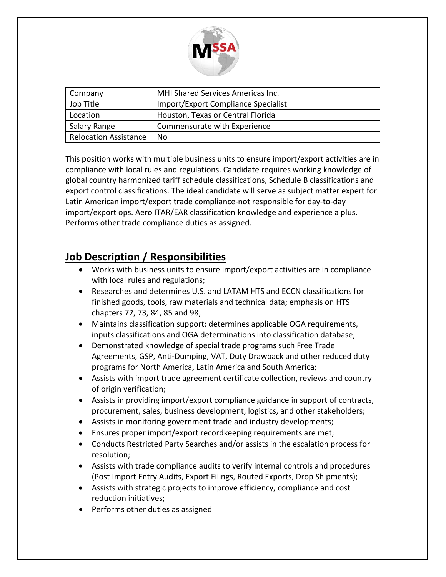

| Company                      | <b>MHI Shared Services Americas Inc.</b> |
|------------------------------|------------------------------------------|
| Job Title                    | Import/Export Compliance Specialist      |
| Location                     | Houston, Texas or Central Florida        |
| Salary Range                 | Commensurate with Experience             |
| <b>Relocation Assistance</b> | No.                                      |

This position works with multiple business units to ensure import/export activities are in compliance with local rules and regulations. Candidate requires working knowledge of global country harmonized tariff schedule classifications, Schedule B classifications and export control classifications. The ideal candidate will serve as subject matter expert for Latin American import/export trade compliance-not responsible for day-to-day import/export ops. Aero ITAR/EAR classification knowledge and experience a plus. Performs other trade compliance duties as assigned.

## **Job Description / Responsibilities**

- Works with business units to ensure import/export activities are in compliance with local rules and regulations;
- Researches and determines U.S. and LATAM HTS and ECCN classifications for finished goods, tools, raw materials and technical data; emphasis on HTS chapters 72, 73, 84, 85 and 98;
- Maintains classification support; determines applicable OGA requirements, inputs classifications and OGA determinations into classification database;
- Demonstrated knowledge of special trade programs such Free Trade Agreements, GSP, Anti-Dumping, VAT, Duty Drawback and other reduced duty programs for North America, Latin America and South America;
- Assists with import trade agreement certificate collection, reviews and country of origin verification;
- Assists in providing import/export compliance guidance in support of contracts, procurement, sales, business development, logistics, and other stakeholders;
- Assists in monitoring government trade and industry developments;
- Ensures proper import/export recordkeeping requirements are met;
- Conducts Restricted Party Searches and/or assists in the escalation process for resolution;
- Assists with trade compliance audits to verify internal controls and procedures (Post Import Entry Audits, Export Filings, Routed Exports, Drop Shipments);
- Assists with strategic projects to improve efficiency, compliance and cost reduction initiatives;
- Performs other duties as assigned